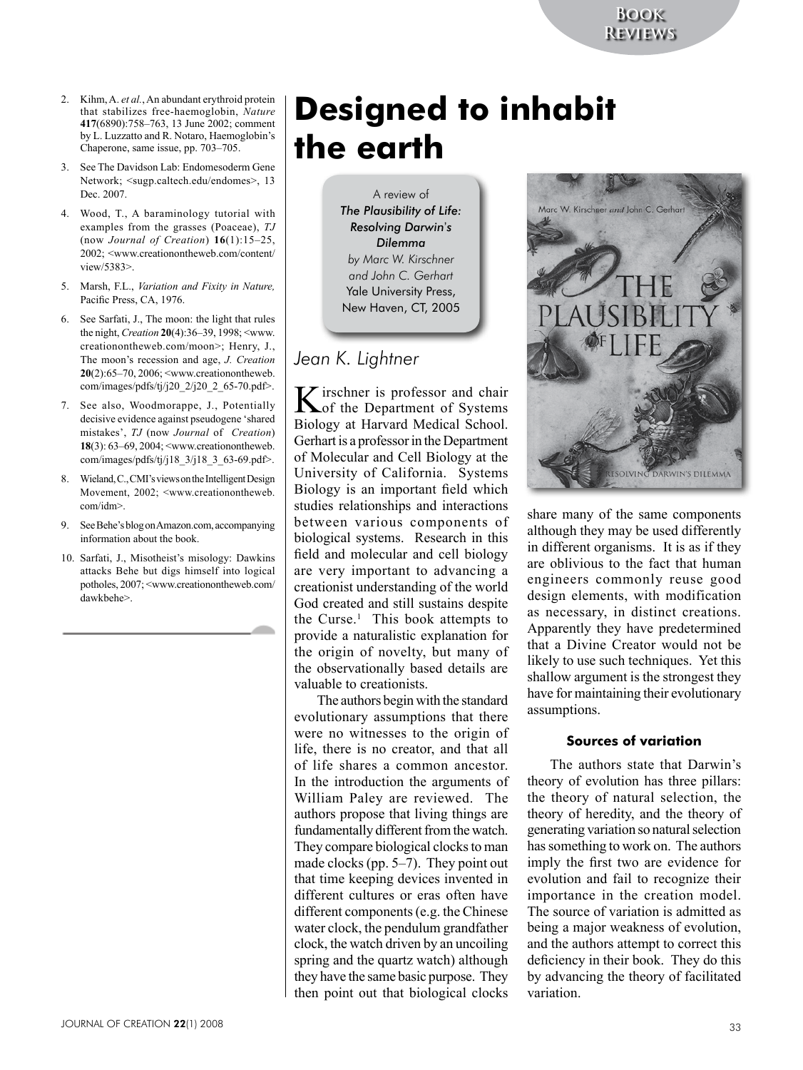- 2. Kihm, A. *et al.*, An abundant erythroid protein that stabilizes free-haemoglobin, *Nature* **417**(6890):758–763, 13 June 2002; comment by L. Luzzatto and R. Notaro, Haemoglobin's Chaperone, same issue, pp. 703–705.
- 3. See The Davidson Lab: Endomesoderm Gene Network; <sugp.caltech.edu/endomes>, 13 Dec. 2007.
- 4. Wood, T., A baraminology tutorial with examples from the grasses (Poaceae), *TJ*  (now *Journal of Creation*) **16**(1):15–25, 2002; <www.creationontheweb.com/content/ view/5383>.
- 5. Marsh, F.L., *Variation and Fixity in Nature,* Pacific Press, CA, 1976.
- 6. See Sarfati, J., The moon: the light that rules the night, *Creation* **20**(4):36–39, 1998; <www. creationontheweb.com/moon>; Henry, J., The moon's recession and age, *J. Creation* **20**(2):65–70, 2006; <www.creationontheweb. com/images/pdfs/tj/j20\_2/j20\_2\_65-70.pdf>.
- 7. See also, Woodmorappe, J., Potentially decisive evidence against pseudogene 'shared mistakes', *TJ* (now *Journal* of *Creation*) **18**(3): 63–69, 2004; <www.creationontheweb. com/images/pdfs/tj/j18\_3/j18\_3\_63-69.pdf>.
- 8. Wieland, C., CMI's views on the Intelligent Design Movement, 2002; <www.creationontheweb. com/idm>.
- 9. See Behe's blog on Amazon.com, accompanying information about the book.
- 10. Sarfati, J., Misotheist's misology: Dawkins attacks Behe but digs himself into logical potholes, 2007; <www.creationontheweb.com/ dawkbehe>.

# **Designed to inhabit the earth**

A review of *The Plausibility of Life: Resolving Darwin*'*s Dilemma by Marc W. Kirschner and John C. Gerhart* Yale University Press, New Haven, CT, 2005

## *Jean K. Lightner*

K irschner is professor and chair<br>
of the Department of Systems Biology at Harvard Medical School. Gerhart is a professor in the Department of Molecular and Cell Biology at the University of California. Systems Biology is an important field which studies relationships and interactions between various components of biological systems. Research in this field and molecular and cell biology are very important to advancing a creationist understanding of the world God created and still sustains despite the Curse.<sup>1</sup> This book attempts to provide a naturalistic explanation for the origin of novelty, but many of the observationally based details are valuable to creationists.

The authors begin with the standard evolutionary assumptions that there were no witnesses to the origin of life, there is no creator, and that all of life shares a common ancestor. In the introduction the arguments of William Paley are reviewed. The authors propose that living things are fundamentally different from the watch. They compare biological clocks to man made clocks (pp. 5–7). They point out that time keeping devices invented in different cultures or eras often have different components (e.g. the Chinese water clock, the pendulum grandfather clock, the watch driven by an uncoiling spring and the quartz watch) although they have the same basic purpose. They then point out that biological clocks



share many of the same components although they may be used differently in different organisms. It is as if they are oblivious to the fact that human engineers commonly reuse good design elements, with modification as necessary, in distinct creations. Apparently they have predetermined that a Divine Creator would not be likely to use such techniques. Yet this shallow argument is the strongest they have for maintaining their evolutionary assumptions.

### **Sources of variation**

The authors state that Darwin's theory of evolution has three pillars: the theory of natural selection, the theory of heredity, and the theory of generating variation so natural selection has something to work on. The authors imply the first two are evidence for evolution and fail to recognize their importance in the creation model. The source of variation is admitted as being a major weakness of evolution, and the authors attempt to correct this deficiency in their book. They do this by advancing the theory of facilitated variation.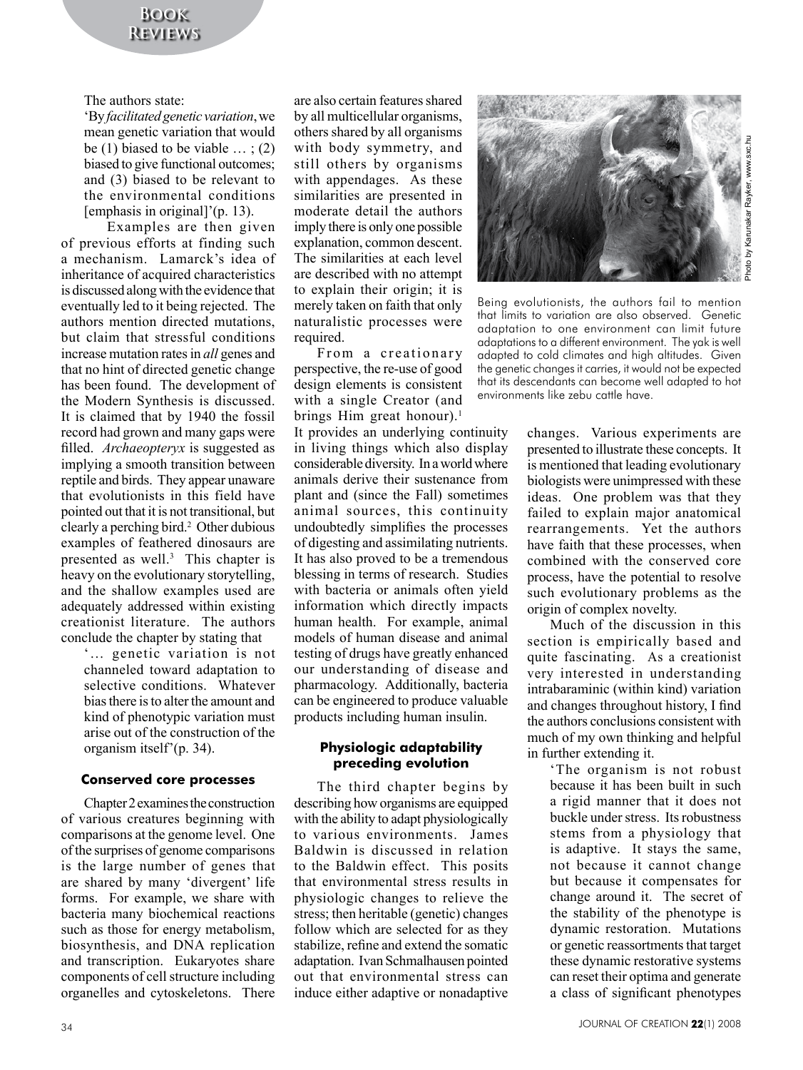The authors state:

'By *facilitated genetic variation*, we mean genetic variation that would be (1) biased to be viable  $\ldots$ ; (2) biased to give functional outcomes; and (3) biased to be relevant to the environmental conditions [emphasis in original]'(p. 13).

Examples are then given of previous efforts at finding such a mechanism. Lamarck's idea of inheritance of acquired characteristics is discussed along with the evidence that eventually led to it being rejected. The authors mention directed mutations, but claim that stressful conditions increase mutation rates in *all* genes and that no hint of directed genetic change has been found. The development of the Modern Synthesis is discussed. It is claimed that by 1940 the fossil record had grown and many gaps were filled. *Archaeopteryx* is suggested as implying a smooth transition between reptile and birds. They appear unaware that evolutionists in this field have pointed out that it is not transitional, but clearly a perching bird.2 Other dubious examples of feathered dinosaurs are presented as well.<sup>3</sup> This chapter is heavy on the evolutionary storytelling, and the shallow examples used are adequately addressed within existing creationist literature. The authors conclude the chapter by stating that

'… genetic variation is not channeled toward adaptation to selective conditions. Whatever bias there is to alter the amount and kind of phenotypic variation must arise out of the construction of the organism itself'(p. 34).

### **Conserved core processes**

Chapter 2 examines the construction of various creatures beginning with comparisons at the genome level. One of the surprises of genome comparisons is the large number of genes that are shared by many 'divergent' life forms. For example, we share with bacteria many biochemical reactions such as those for energy metabolism, biosynthesis, and DNA replication and transcription. Eukaryotes share components of cell structure including organelles and cytoskeletons. There

are also certain features shared by all multicellular organisms, others shared by all organisms with body symmetry, and still others by organisms with appendages. As these similarities are presented in moderate detail the authors imply there is only one possible explanation, common descent. The similarities at each level are described with no attempt to explain their origin; it is merely taken on faith that only naturalistic processes were required.

From a creationary perspective, the re-use of good design elements is consistent with a single Creator (and brings Him great honour).<sup>1</sup>

It provides an underlying continuity in living things which also display considerable diversity. In a world where animals derive their sustenance from plant and (since the Fall) sometimes animal sources, this continuity undoubtedly simplifies the processes of digesting and assimilating nutrients. It has also proved to be a tremendous blessing in terms of research. Studies with bacteria or animals often yield information which directly impacts human health. For example, animal models of human disease and animal testing of drugs have greatly enhanced our understanding of disease and pharmacology. Additionally, bacteria can be engineered to produce valuable products including human insulin.

### **Physiologic adaptability preceding evolution**

The third chapter begins by describing how organisms are equipped with the ability to adapt physiologically to various environments. James Baldwin is discussed in relation to the Baldwin effect. This posits that environmental stress results in physiologic changes to relieve the stress; then heritable (genetic) changes follow which are selected for as they stabilize, refine and extend the somatic adaptation. Ivan Schmalhausen pointed out that environmental stress can induce either adaptive or nonadaptive



Being evolutionists, the authors fail to mention that limits to variation are also observed. Genetic adaptation to one environment can limit future adaptations to a different environment. The yak is well adapted to cold climates and high altitudes. Given the genetic changes it carries, it would not be expected that its descendants can become well adapted to hot environments like zebu cattle have.

changes. Various experiments are presented to illustrate these concepts. It is mentioned that leading evolutionary biologists were unimpressed with these ideas. One problem was that they failed to explain major anatomical rearrangements. Yet the authors have faith that these processes, when combined with the conserved core process, have the potential to resolve such evolutionary problems as the origin of complex novelty.

Much of the discussion in this section is empirically based and quite fascinating. As a creationist very interested in understanding intrabaraminic (within kind) variation and changes throughout history, I find the authors conclusions consistent with much of my own thinking and helpful in further extending it.

'The organism is not robust because it has been built in such a rigid manner that it does not buckle under stress. Its robustness stems from a physiology that is adaptive. It stays the same, not because it cannot change but because it compensates for change around it. The secret of the stability of the phenotype is dynamic restoration. Mutations or genetic reassortments that target these dynamic restorative systems can reset their optima and generate a class of significant phenotypes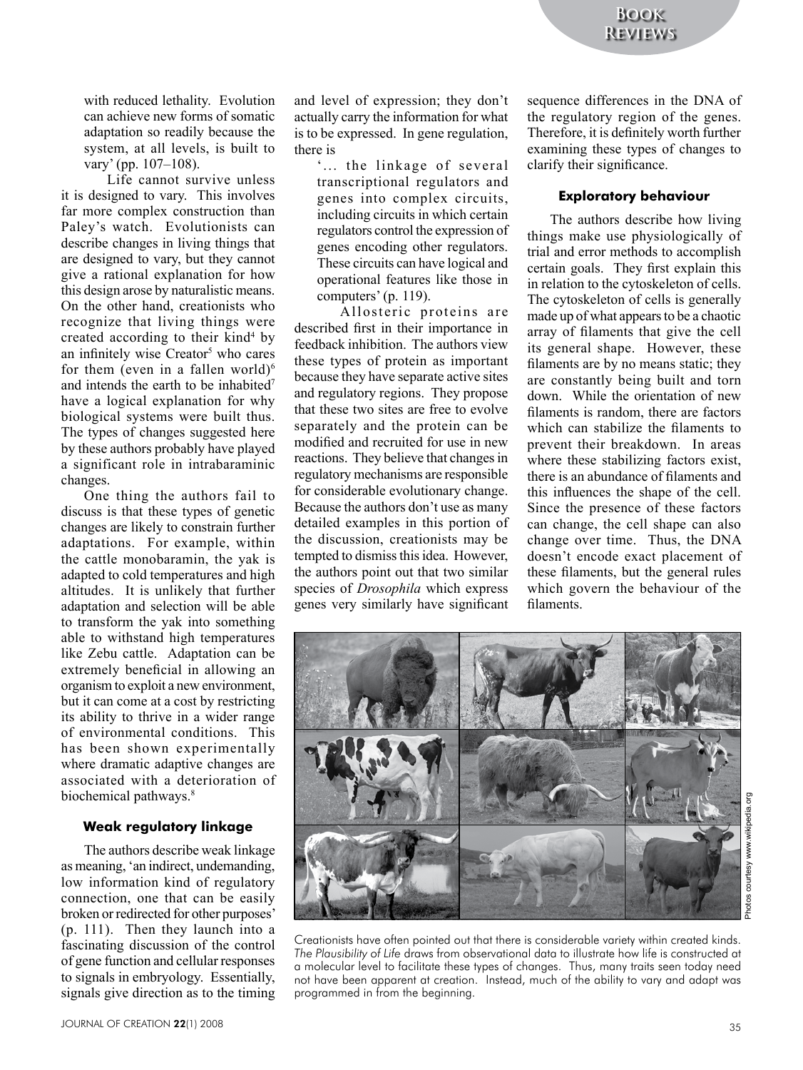with reduced lethality. Evolution can achieve new forms of somatic adaptation so readily because the system, at all levels, is built to vary' (pp. 107–108).

Life cannot survive unless it is designed to vary. This involves far more complex construction than Paley's watch. Evolutionists can describe changes in living things that are designed to vary, but they cannot give a rational explanation for how this design arose by naturalistic means. On the other hand, creationists who recognize that living things were created according to their kind<sup>4</sup> by an infinitely wise Creator<sup>5</sup> who cares for them (even in a fallen world) $6$ and intends the earth to be inhabited7 have a logical explanation for why biological systems were built thus. The types of changes suggested here by these authors probably have played a significant role in intrabaraminic changes.

One thing the authors fail to discuss is that these types of genetic changes are likely to constrain further adaptations. For example, within the cattle monobaramin, the yak is adapted to cold temperatures and high altitudes. It is unlikely that further adaptation and selection will be able to transform the yak into something able to withstand high temperatures like Zebu cattle. Adaptation can be extremely beneficial in allowing an organism to exploit a new environment, but it can come at a cost by restricting its ability to thrive in a wider range of environmental conditions. This has been shown experimentally where dramatic adaptive changes are associated with a deterioration of biochemical pathways.<sup>8</sup>

### **Weak regulatory linkage**

The authors describe weak linkage as meaning, 'an indirect, undemanding, low information kind of regulatory connection, one that can be easily broken or redirected for other purposes' (p. 111). Then they launch into a fascinating discussion of the control of gene function and cellular responses to signals in embryology. Essentially, signals give direction as to the timing

and level of expression; they don't actually carry the information for what is to be expressed. In gene regulation, there is

'... the linkage of several transcriptional regulators and genes into complex circuits, including circuits in which certain regulators control the expression of genes encoding other regulators. These circuits can have logical and operational features like those in computers' (p. 119).

Allosteric proteins are described first in their importance in feedback inhibition. The authors view these types of protein as important because they have separate active sites and regulatory regions. They propose that these two sites are free to evolve separately and the protein can be modified and recruited for use in new reactions. They believe that changes in regulatory mechanisms are responsible for considerable evolutionary change. Because the authors don't use as many detailed examples in this portion of the discussion, creationists may be tempted to dismiss this idea. However, the authors point out that two similar species of *Drosophila* which express genes very similarly have significant

sequence differences in the DNA of the regulatory region of the genes. Therefore, it is definitely worth further examining these types of changes to clarify their significance.

#### **Exploratory behaviour**

The authors describe how living things make use physiologically of trial and error methods to accomplish certain goals. They first explain this in relation to the cytoskeleton of cells. The cytoskeleton of cells is generally made up of what appears to be a chaotic array of filaments that give the cell its general shape. However, these filaments are by no means static; they are constantly being built and torn down. While the orientation of new filaments is random, there are factors which can stabilize the filaments to prevent their breakdown. In areas where these stabilizing factors exist, there is an abundance of filaments and this influences the shape of the cell. Since the presence of these factors can change, the cell shape can also change over time. Thus, the DNA doesn't encode exact placement of these filaments, but the general rules which govern the behaviour of the filaments.



Photos courtesy www.wikipedia.orgwikipe Photos courtesy www.

Creationists have often pointed out that there is considerable variety within created kinds. *The Plausibility of Life* draws from observational data to illustrate how life is constructed at a molecular level to facilitate these types of changes. Thus, many traits seen today need not have been apparent at creation. Instead, much of the ability to vary and adapt was programmed in from the beginning.